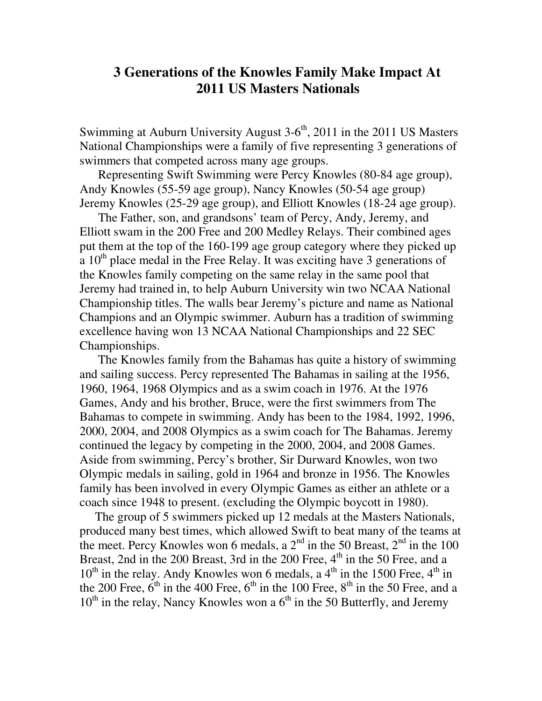## **3 Generations of the Knowles Family Make Impact At 2011 US Masters Nationals**

Swimming at Auburn University August  $3-6<sup>th</sup>$ , 2011 in the 2011 US Masters National Championships were a family of five representing 3 generations of swimmers that competed across many age groups.

 Representing Swift Swimming were Percy Knowles (80-84 age group), Andy Knowles (55-59 age group), Nancy Knowles (50-54 age group) Jeremy Knowles (25-29 age group), and Elliott Knowles (18-24 age group).

 The Father, son, and grandsons' team of Percy, Andy, Jeremy, and Elliott swam in the 200 Free and 200 Medley Relays. Their combined ages put them at the top of the 160-199 age group category where they picked up  $a$  10<sup>th</sup> place medal in the Free Relay. It was exciting have 3 generations of the Knowles family competing on the same relay in the same pool that Jeremy had trained in, to help Auburn University win two NCAA National Championship titles. The walls bear Jeremy's picture and name as National Champions and an Olympic swimmer. Auburn has a tradition of swimming excellence having won 13 NCAA National Championships and 22 SEC Championships.

 The Knowles family from the Bahamas has quite a history of swimming and sailing success. Percy represented The Bahamas in sailing at the 1956, 1960, 1964, 1968 Olympics and as a swim coach in 1976. At the 1976 Games, Andy and his brother, Bruce, were the first swimmers from The Bahamas to compete in swimming. Andy has been to the 1984, 1992, 1996, 2000, 2004, and 2008 Olympics as a swim coach for The Bahamas. Jeremy continued the legacy by competing in the 2000, 2004, and 2008 Games. Aside from swimming, Percy's brother, Sir Durward Knowles, won two Olympic medals in sailing, gold in 1964 and bronze in 1956. The Knowles family has been involved in every Olympic Games as either an athlete or a coach since 1948 to present. (excluding the Olympic boycott in 1980).

 The group of 5 swimmers picked up 12 medals at the Masters Nationals, produced many best times, which allowed Swift to beat many of the teams at the meet. Percy Knowles won 6 medals, a  $2<sup>nd</sup>$  in the 50 Breast,  $2<sup>nd</sup>$  in the 100 Breast, 2nd in the 200 Breast, 3rd in the 200 Free,  $4<sup>th</sup>$  in the 50 Free, and a  $10^{th}$  in the relay. Andy Knowles won 6 medals, a  $4^{th}$  in the 1500 Free,  $4^{th}$  in the 200 Free,  $6<sup>th</sup>$  in the 400 Free,  $6<sup>th</sup>$  in the 100 Free,  $8<sup>th</sup>$  in the 50 Free, and a  $10^{th}$  in the relay, Nancy Knowles won a  $6^{th}$  in the 50 Butterfly, and Jeremy